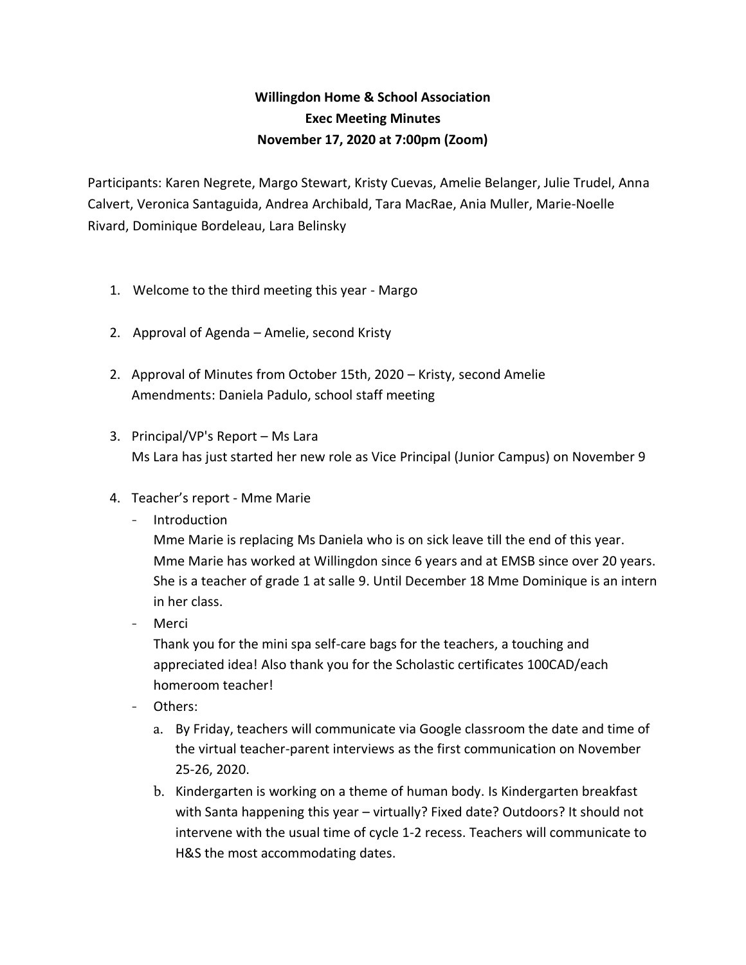## **Willingdon Home & School Association Exec Meeting Minutes November 17, 2020 at 7:00pm (Zoom)**

Participants: Karen Negrete, Margo Stewart, Kristy Cuevas, Amelie Belanger, Julie Trudel, Anna Calvert, Veronica Santaguida, Andrea Archibald, Tara MacRae, Ania Muller, Marie-Noelle Rivard, Dominique Bordeleau, Lara Belinsky

- 1. Welcome to the third meeting this year Margo
- 2. Approval of Agenda Amelie, second Kristy
- 2. Approval of Minutes from October 15th, 2020 Kristy, second Amelie Amendments: Daniela Padulo, school staff meeting
- 3. Principal/VP's Report Ms Lara Ms Lara has just started her new role as Vice Principal (Junior Campus) on November 9
- 4. Teacher's report Mme Marie
	- Introduction

Mme Marie is replacing Ms Daniela who is on sick leave till the end of this year. Mme Marie has worked at Willingdon since 6 years and at EMSB since over 20 years. She is a teacher of grade 1 at salle 9. Until December 18 Mme Dominique is an intern in her class.

- Merci

Thank you for the mini spa self-care bags for the teachers, a touching and appreciated idea! Also thank you for the Scholastic certificates 100CAD/each homeroom teacher!

- Others:
	- a. By Friday, teachers will communicate via Google classroom the date and time of the virtual teacher-parent interviews as the first communication on November 25-26, 2020.
	- b. Kindergarten is working on a theme of human body. Is Kindergarten breakfast with Santa happening this year – virtually? Fixed date? Outdoors? It should not intervene with the usual time of cycle 1-2 recess. Teachers will communicate to H&S the most accommodating dates.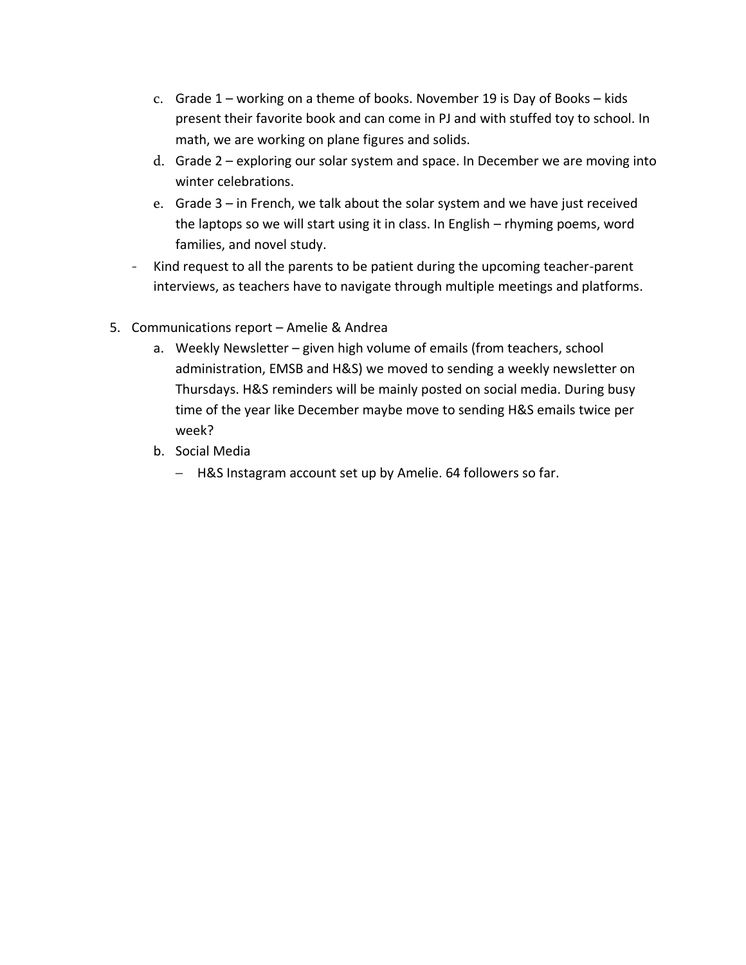- c. Grade 1 working on a theme of books. November 19 is Day of Books kids present their favorite book and can come in PJ and with stuffed toy to school. In math, we are working on plane figures and solids.
- d. Grade 2 exploring our solar system and space. In December we are moving into winter celebrations.
- e. Grade 3 in French, we talk about the solar system and we have just received the laptops so we will start using it in class. In English – rhyming poems, word families, and novel study.
- Kind request to all the parents to be patient during the upcoming teacher-parent interviews, as teachers have to navigate through multiple meetings and platforms.
- 5. Communications report Amelie & Andrea
	- a. Weekly Newsletter given high volume of emails (from teachers, school administration, EMSB and H&S) we moved to sending a weekly newsletter on Thursdays. H&S reminders will be mainly posted on social media. During busy time of the year like December maybe move to sending H&S emails twice per week?
	- b. Social Media
		- H&S Instagram account set up by Amelie. 64 followers so far.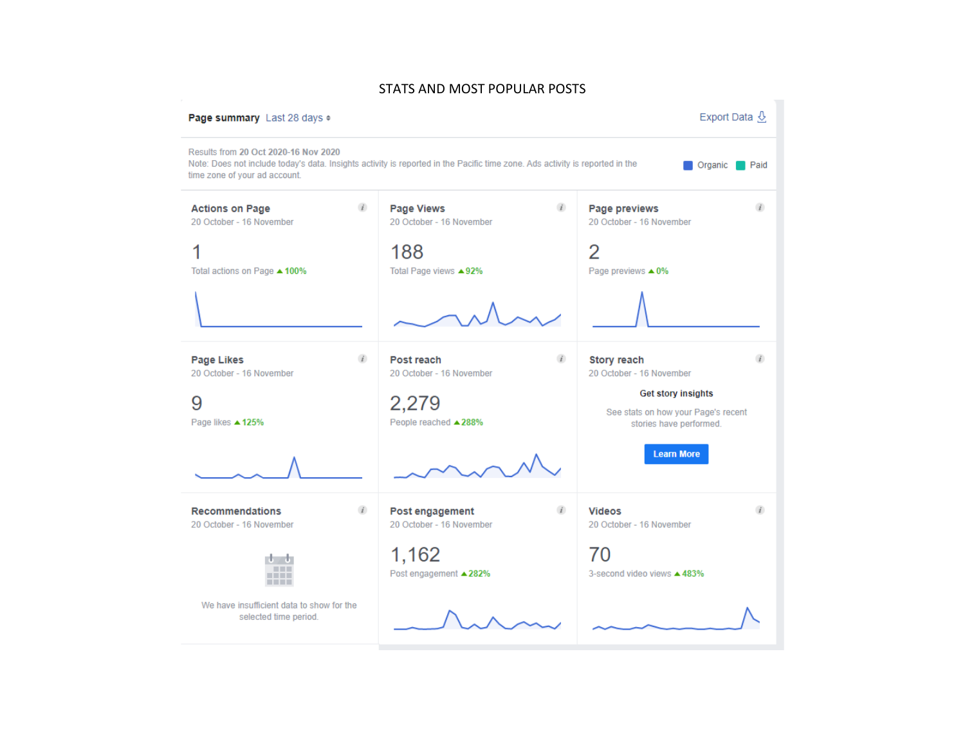## STATS AND MOST POPULAR POSTS

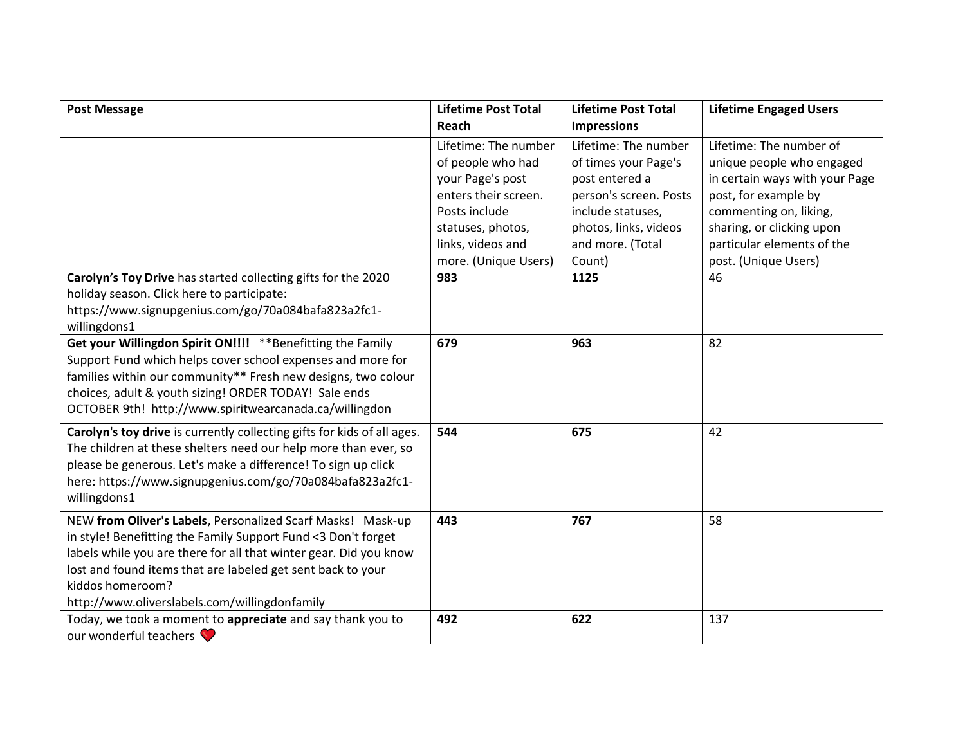| <b>Post Message</b>                                                                                                                                                                                                                                                                                                                   | <b>Lifetime Post Total</b>                                                                                                                                               | <b>Lifetime Post Total</b>                                                                                                                                           | <b>Lifetime Engaged Users</b>                                                                                                                                                                                               |
|---------------------------------------------------------------------------------------------------------------------------------------------------------------------------------------------------------------------------------------------------------------------------------------------------------------------------------------|--------------------------------------------------------------------------------------------------------------------------------------------------------------------------|----------------------------------------------------------------------------------------------------------------------------------------------------------------------|-----------------------------------------------------------------------------------------------------------------------------------------------------------------------------------------------------------------------------|
|                                                                                                                                                                                                                                                                                                                                       | Reach                                                                                                                                                                    | <b>Impressions</b>                                                                                                                                                   |                                                                                                                                                                                                                             |
|                                                                                                                                                                                                                                                                                                                                       | Lifetime: The number<br>of people who had<br>your Page's post<br>enters their screen.<br>Posts include<br>statuses, photos,<br>links, videos and<br>more. (Unique Users) | Lifetime: The number<br>of times your Page's<br>post entered a<br>person's screen. Posts<br>include statuses,<br>photos, links, videos<br>and more. (Total<br>Count) | Lifetime: The number of<br>unique people who engaged<br>in certain ways with your Page<br>post, for example by<br>commenting on, liking,<br>sharing, or clicking upon<br>particular elements of the<br>post. (Unique Users) |
| Carolyn's Toy Drive has started collecting gifts for the 2020<br>holiday season. Click here to participate:<br>https://www.signupgenius.com/go/70a084bafa823a2fc1-<br>willingdons1                                                                                                                                                    | 983                                                                                                                                                                      | 1125                                                                                                                                                                 | 46                                                                                                                                                                                                                          |
| Get your Willingdon Spirit ON!!!! ** Benefitting the Family<br>Support Fund which helps cover school expenses and more for<br>families within our community** Fresh new designs, two colour<br>choices, adult & youth sizing! ORDER TODAY! Sale ends<br>OCTOBER 9th! http://www.spiritwearcanada.ca/willingdon                        | 679                                                                                                                                                                      | 963                                                                                                                                                                  | 82                                                                                                                                                                                                                          |
| Carolyn's toy drive is currently collecting gifts for kids of all ages.<br>The children at these shelters need our help more than ever, so<br>please be generous. Let's make a difference! To sign up click<br>here: https://www.signupgenius.com/go/70a084bafa823a2fc1-<br>willingdons1                                              | 544                                                                                                                                                                      | 675                                                                                                                                                                  | 42                                                                                                                                                                                                                          |
| NEW from Oliver's Labels, Personalized Scarf Masks! Mask-up<br>in style! Benefitting the Family Support Fund <3 Don't forget<br>labels while you are there for all that winter gear. Did you know<br>lost and found items that are labeled get sent back to your<br>kiddos homeroom?<br>http://www.oliverslabels.com/willingdonfamily | 443                                                                                                                                                                      | 767                                                                                                                                                                  | 58                                                                                                                                                                                                                          |
| Today, we took a moment to appreciate and say thank you to<br>our wonderful teachers                                                                                                                                                                                                                                                  | 492                                                                                                                                                                      | 622                                                                                                                                                                  | 137                                                                                                                                                                                                                         |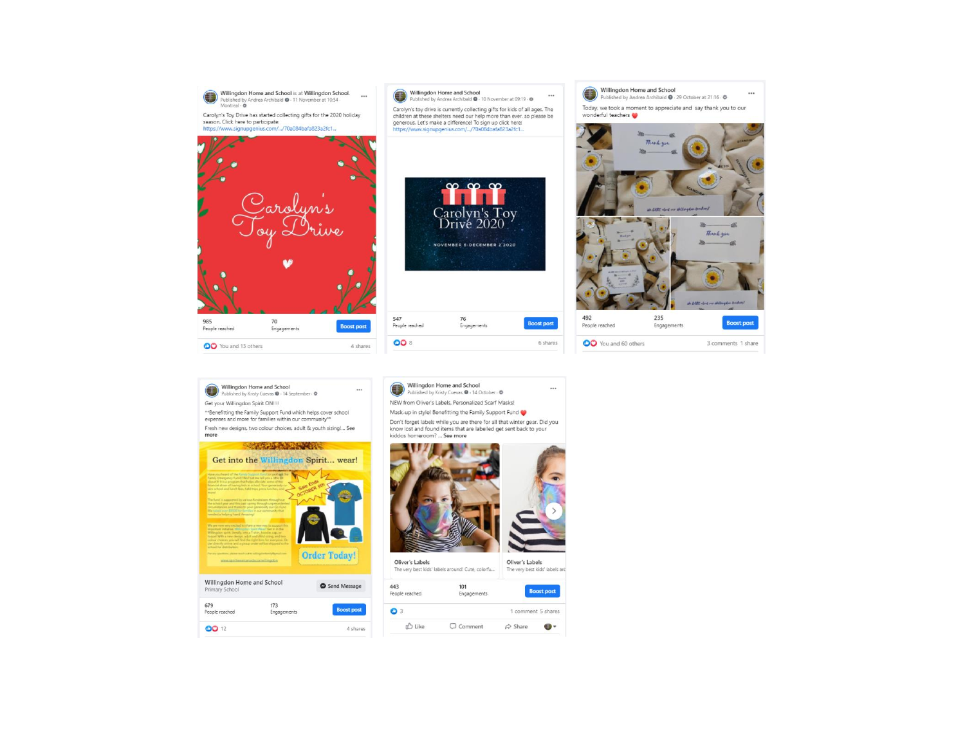

**Boost post** 

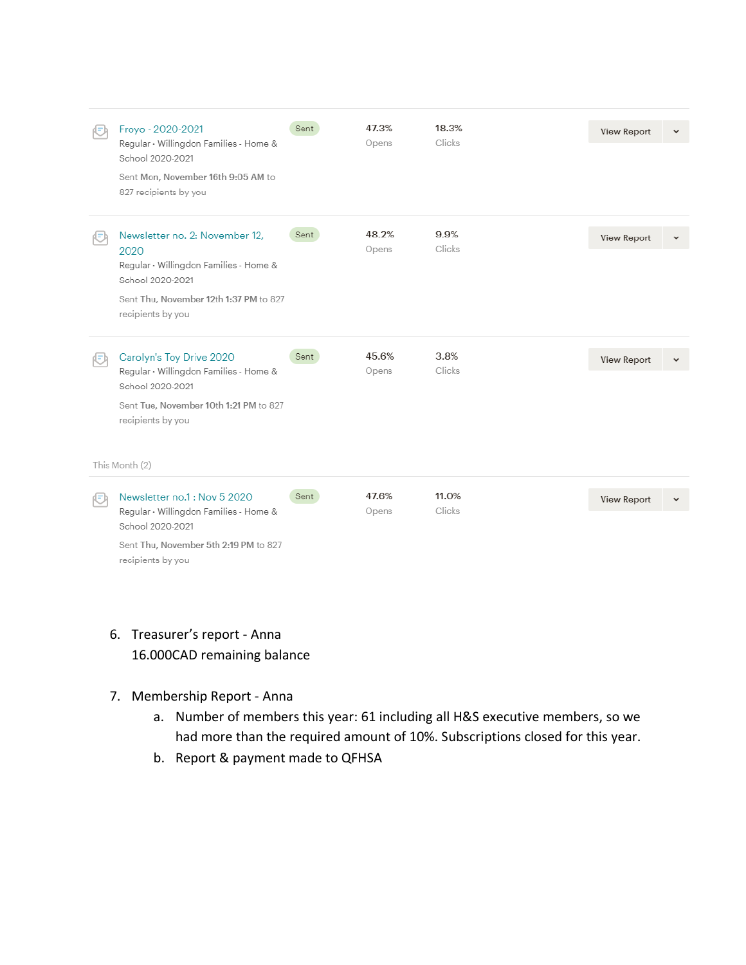|    | Froyo - 2020-2021<br>Regular · Willingdon Families - Home &<br>School 2020-2021<br>Sent Mon, November 16th 9:05 AM to<br>827 recipients by you                          | Sent | 47.3%<br>Opens | 18.3%<br>Clicks | View Report        | $\checkmark$ |
|----|-------------------------------------------------------------------------------------------------------------------------------------------------------------------------|------|----------------|-----------------|--------------------|--------------|
|    | Newsletter no. 2: November 12,<br>2020<br>Regular · Willingdon Families - Home &<br>School 2020-2021<br>Sent Thu, November 12th 1:37 PM to 827<br>recipients by you     | Sent | 48.2%<br>Opens | 9.9%<br>Clicks  | <b>View Report</b> |              |
| 妇  | Carolyn's Toy Drive 2020<br>Regular · Willingdon Families - Home &<br>School 2020-2021<br>Sent Tue, November 10th 1:21 PM to 827<br>recipients by you<br>This Month (2) | Sent | 45.6%<br>Opens | 3.8%<br>Clicks  | View Report        |              |
| ÆЛ | Newsletter no.1: Nov 5 2020<br>Regular · Willingdon Families - Home &<br>School 2020-2021<br>Sent Thu, November 5th 2:19 PM to 827<br>recipients by you                 | Sent | 47.6%<br>Opens | 11.0%<br>Clicks | View Report        |              |

- 6. Treasurer's report Anna 16.000CAD remaining balance
- 7. Membership Report Anna
	- a. Number of members this year: 61 including all H&S executive members, so we had more than the required amount of 10%. Subscriptions closed for this year.
	- b. Report & payment made to QFHSA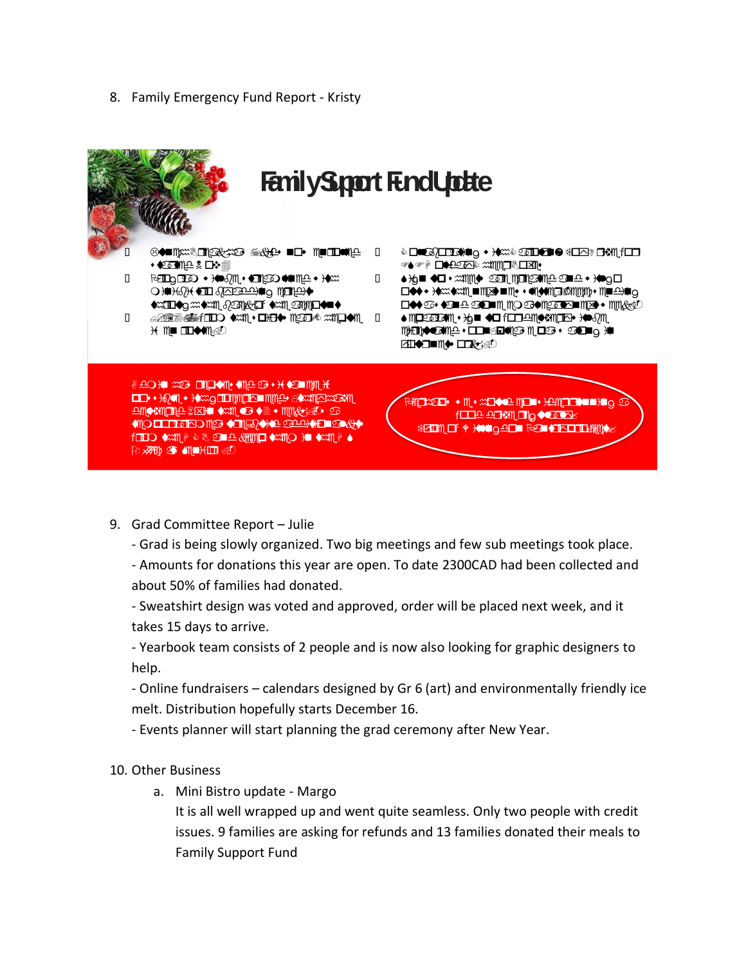8. Family Emergency Fund Report - Kristy



- 9. Grad Committee Report Julie
	- Grad is being slowly organized. Two big meetings and few sub meetings took place.

- Amounts for donations this year are open. To date 2300CAD had been collected and about 50% of families had donated.

- Sweatshirt design was voted and approved, order will be placed next week, and it takes 15 days to arrive.

- Yearbook team consists of 2 people and is now also looking for graphic designers to help.

- Online fundraisers – calendars designed by Gr 6 (art) and environmentally friendly ice melt. Distribution hopefully starts December 16.

- Events planner will start planning the grad ceremony after New Year.

## 10. Other Business

a. Mini Bistro update - Margo

It is all well wrapped up and went quite seamless. Only two people with credit issues. 9 families are asking for refunds and 13 families donated their meals to **Family Support Fund**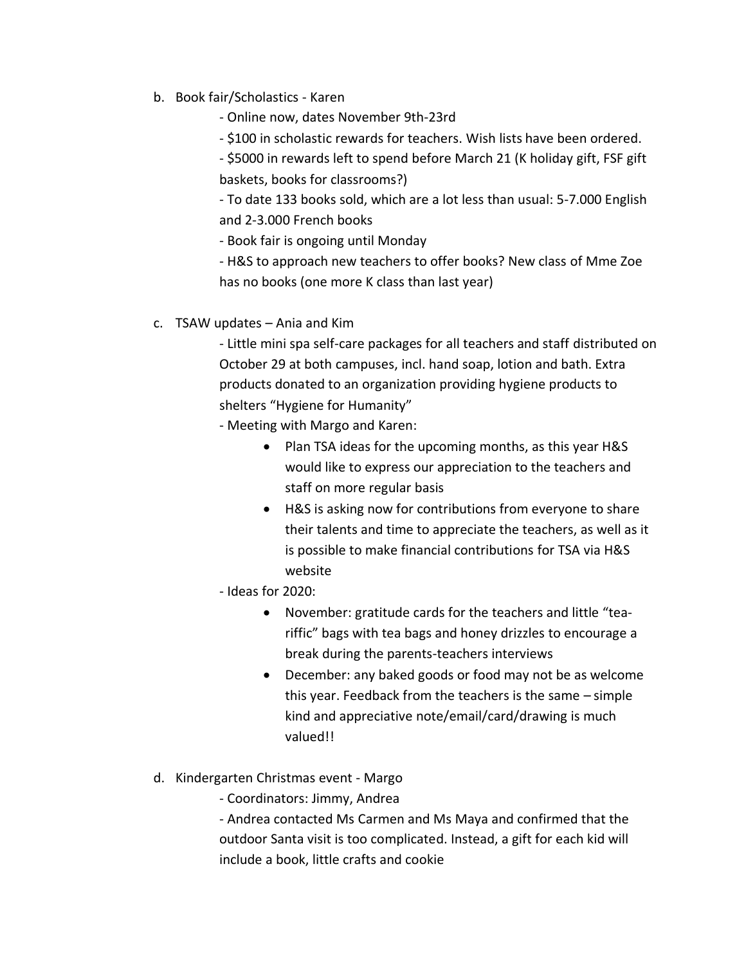- b. Book fair/Scholastics Karen
	- Online now, dates November 9th-23rd
	- \$100 in scholastic rewards for teachers. Wish lists have been ordered.
	- \$5000 in rewards left to spend before March 21 (K holiday gift, FSF gift baskets, books for classrooms?)

- To date 133 books sold, which are a lot less than usual: 5-7.000 English and 2-3.000 French books

- Book fair is ongoing until Monday

- H&S to approach new teachers to offer books? New class of Mme Zoe has no books (one more K class than last year)

c. TSAW updates – Ania and Kim

- Little mini spa self-care packages for all teachers and staff distributed on October 29 at both campuses, incl. hand soap, lotion and bath. Extra products donated to an organization providing hygiene products to shelters "Hygiene for Humanity"

- Meeting with Margo and Karen:
	- Plan TSA ideas for the upcoming months, as this year H&S would like to express our appreciation to the teachers and staff on more regular basis
	- H&S is asking now for contributions from everyone to share their talents and time to appreciate the teachers, as well as it is possible to make financial contributions for TSA via H&S website
- Ideas for 2020:
	- November: gratitude cards for the teachers and little "teariffic" bags with tea bags and honey drizzles to encourage a break during the parents-teachers interviews
	- December: any baked goods or food may not be as welcome this year. Feedback from the teachers is the same – simple kind and appreciative note/email/card/drawing is much valued!!
- d. Kindergarten Christmas event Margo
	- Coordinators: Jimmy, Andrea

- Andrea contacted Ms Carmen and Ms Maya and confirmed that the outdoor Santa visit is too complicated. Instead, a gift for each kid will include a book, little crafts and cookie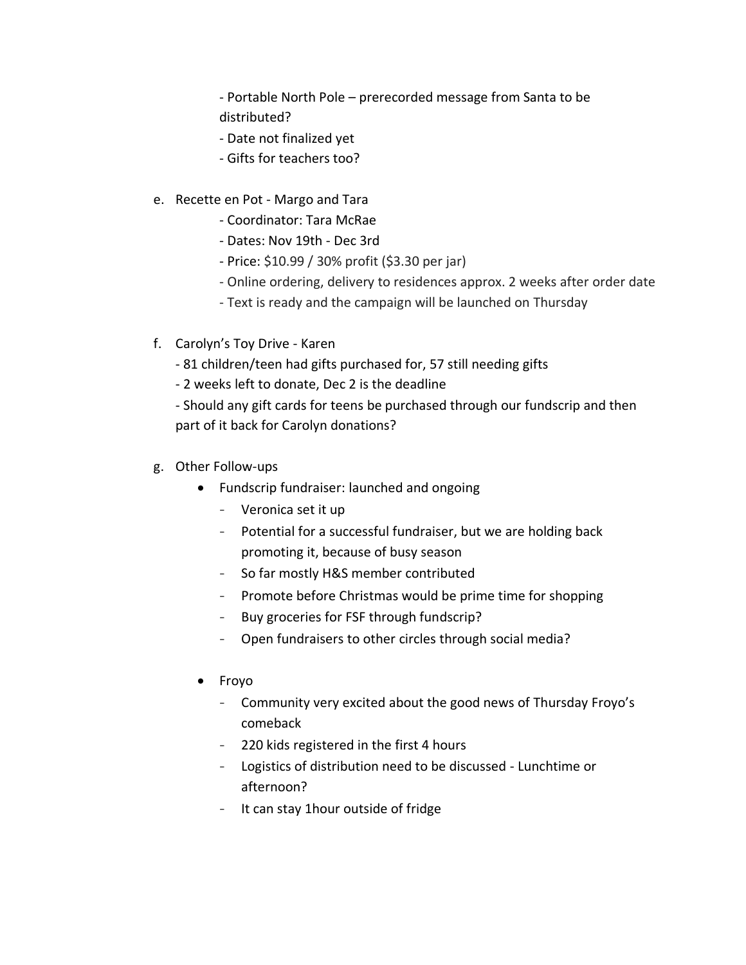- Portable North Pole – prerecorded message from Santa to be distributed?

- Date not finalized yet
- Gifts for teachers too?
- e. Recette en Pot Margo and Tara
	- Coordinator: Tara McRae
	- Dates: Nov 19th Dec 3rd
	- Price: \$10.99 / 30% profit (\$3.30 per jar)
	- Online ordering, delivery to residences approx. 2 weeks after order date
	- Text is ready and the campaign will be launched on Thursday
- f. Carolyn's Toy Drive Karen
	- 81 children/teen had gifts purchased for, 57 still needing gifts
	- 2 weeks left to donate, Dec 2 is the deadline

- Should any gift cards for teens be purchased through our fundscrip and then part of it back for Carolyn donations?

- g. Other Follow-ups
	- Fundscrip fundraiser: launched and ongoing
		- Veronica set it up
		- Potential for a successful fundraiser, but we are holding back promoting it, because of busy season
		- So far mostly H&S member contributed
		- Promote before Christmas would be prime time for shopping
		- Buy groceries for FSF through fundscrip?
		- Open fundraisers to other circles through social media?
	- Froyo
		- Community very excited about the good news of Thursday Froyo's comeback
		- 220 kids registered in the first 4 hours
		- Logistics of distribution need to be discussed Lunchtime or afternoon?
		- It can stay 1hour outside of fridge